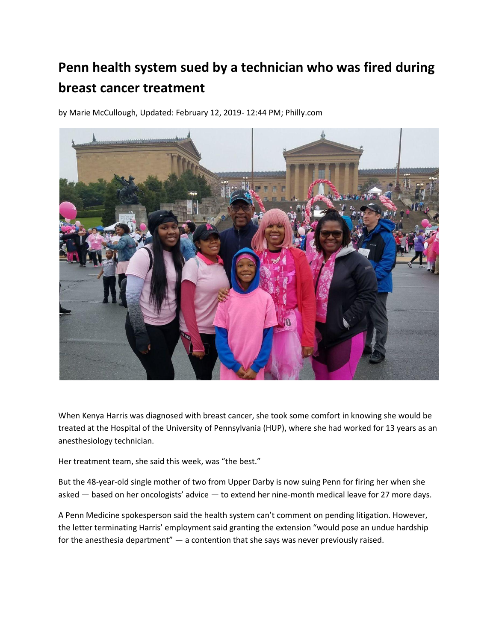## **Penn health system sued by a technician who was fired during breast cancer treatment**

by Marie McCullough, Updated: February 12, 2019- 12:44 PM; Philly.com



When Kenya Harris was diagnosed with breast cancer, she took some comfort in knowing she would be treated at the Hospital of the University of Pennsylvania (HUP), where she had worked for 13 years as an anesthesiology technician.

Her treatment team, she said this week, was "the best."

But the 48-year-old single mother of two from Upper Darby is now suing Penn for firing her when she asked — based on her oncologists' advice — to extend her nine-month medical leave for 27 more days.

A Penn Medicine spokesperson said the health system can't comment on pending litigation. However, the letter terminating Harris' employment said granting the extension "would pose an undue hardship for the anesthesia department" — a contention that she says was never previously raised.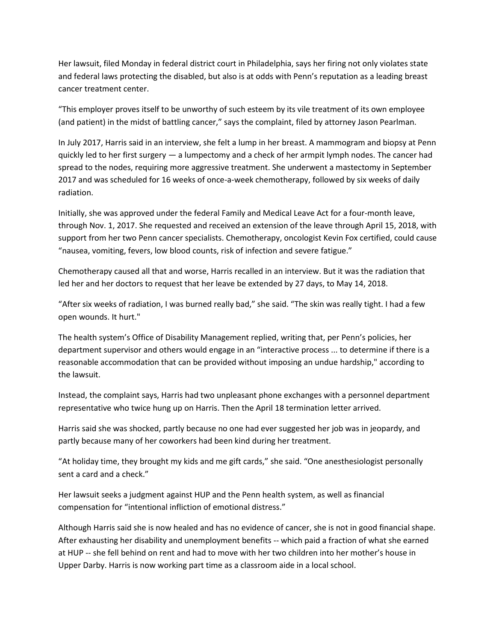Her lawsuit, filed Monday in federal district court in Philadelphia, says her firing not only violates state and federal laws protecting the disabled, but also is at odds with Penn's reputation as a leading breast cancer treatment center.

"This employer proves itself to be unworthy of such esteem by its vile treatment of its own employee (and patient) in the midst of battling cancer," says the complaint, filed by attorney Jason Pearlman.

In July 2017, Harris said in an interview, she felt a lump in her breast. A mammogram and biopsy at Penn quickly led to her first surgery — a lumpectomy and a check of her armpit lymph nodes. The cancer had spread to the nodes, requiring more aggressive treatment. She underwent a mastectomy in September 2017 and was scheduled for 16 weeks of once-a-week chemotherapy, followed by six weeks of daily radiation.

Initially, she was approved under the federal Family and Medical Leave Act for a four-month leave, through Nov. 1, 2017. She requested and received an extension of the leave through April 15, 2018, with support from her two Penn cancer specialists. Chemotherapy, oncologist Kevin Fox certified, could cause "nausea, vomiting, fevers, low blood counts, risk of infection and severe fatigue."

Chemotherapy caused all that and worse, Harris recalled in an interview. But it was the radiation that led her and her doctors to request that her leave be extended by 27 days, to May 14, 2018.

"After six weeks of radiation, I was burned really bad," she said. "The skin was really tight. I had a few open wounds. It hurt."

The health system's Office of Disability Management replied, writing that, per Penn's policies, her department supervisor and others would engage in an "interactive process ... to determine if there is a reasonable accommodation that can be provided without imposing an undue hardship," according to the lawsuit.

Instead, the complaint says, Harris had two unpleasant phone exchanges with a personnel department representative who twice hung up on Harris. Then the April 18 termination letter arrived.

Harris said she was shocked, partly because no one had ever suggested her job was in jeopardy, and partly because many of her coworkers had been kind during her treatment.

"At holiday time, they brought my kids and me gift cards," she said. "One anesthesiologist personally sent a card and a check."

Her lawsuit seeks a judgment against HUP and the Penn health system, as well as financial compensation for "intentional infliction of emotional distress."

Although Harris said she is now healed and has no evidence of cancer, she is not in good financial shape. After exhausting her disability and unemployment benefits -- which paid a fraction of what she earned at HUP -- she fell behind on rent and had to move with her two children into her mother's house in Upper Darby. Harris is now working part time as a classroom aide in a local school.